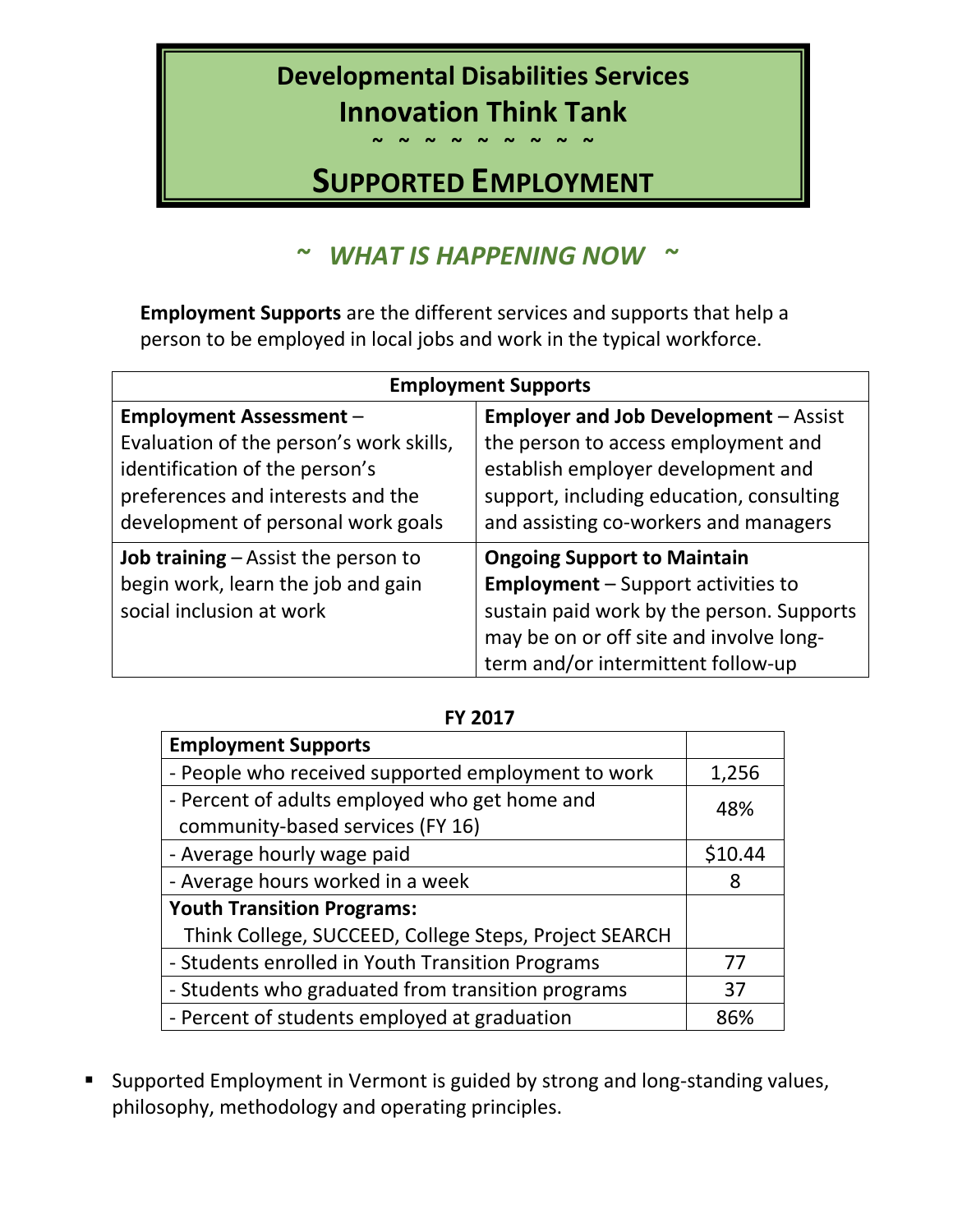# **Developmental Disabilities Services Innovation Think Tank**

**~ ~ ~ ~ ~ ~ ~ ~ ~** 

# **SUPPORTED EMPLOYMENT**

## *~ WHAT IS HAPPENING NOW ~*

**Employment Supports** are the different services and supports that help a person to be employed in local jobs and work in the typical workforce.

| <b>Employment Supports</b>                                                                                                                           |                                                                                                                                                                                                               |  |
|------------------------------------------------------------------------------------------------------------------------------------------------------|---------------------------------------------------------------------------------------------------------------------------------------------------------------------------------------------------------------|--|
| <b>Employment Assessment -</b>                                                                                                                       | <b>Employer and Job Development - Assist</b>                                                                                                                                                                  |  |
| Evaluation of the person's work skills,<br>identification of the person's<br>preferences and interests and the<br>development of personal work goals | the person to access employment and<br>establish employer development and<br>support, including education, consulting<br>and assisting co-workers and managers                                                |  |
| <b>Job training</b> $-$ Assist the person to<br>begin work, learn the job and gain<br>social inclusion at work                                       | <b>Ongoing Support to Maintain</b><br><b>Employment</b> - Support activities to<br>sustain paid work by the person. Supports<br>may be on or off site and involve long-<br>term and/or intermittent follow-up |  |

| <b>Employment Supports</b>                                                        |         |
|-----------------------------------------------------------------------------------|---------|
| - People who received supported employment to work                                | 1,256   |
| - Percent of adults employed who get home and<br>community-based services (FY 16) | 48%     |
| - Average hourly wage paid                                                        | \$10.44 |
| - Average hours worked in a week                                                  | 8       |
| <b>Youth Transition Programs:</b>                                                 |         |
| Think College, SUCCEED, College Steps, Project SEARCH                             |         |
| - Students enrolled in Youth Transition Programs                                  | 77      |
| - Students who graduated from transition programs                                 | 37      |
| - Percent of students employed at graduation                                      | 86%     |

■ Supported Employment in Vermont is guided by strong and long-standing values, philosophy, methodology and operating principles.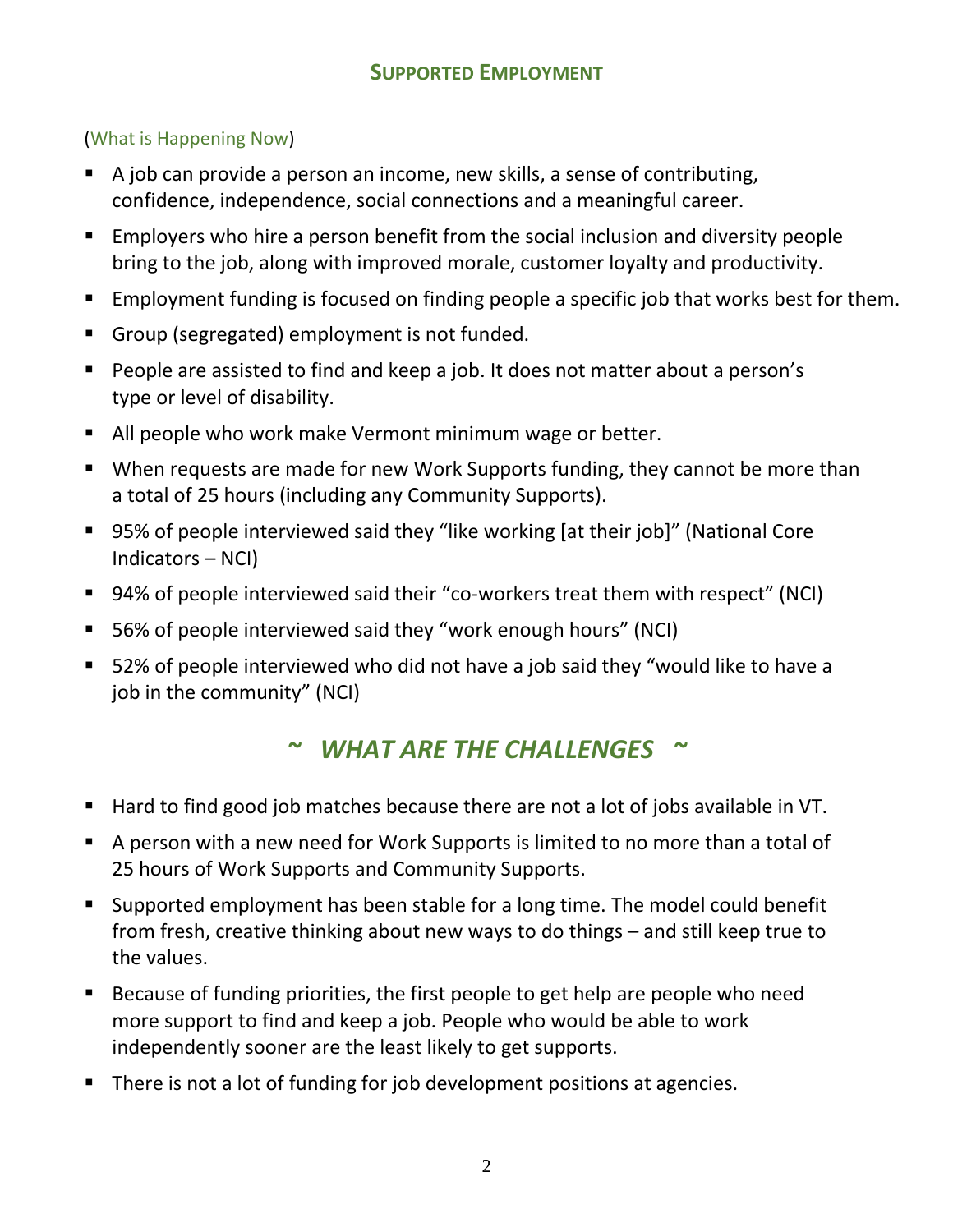### (What is Happening Now)

- A job can provide a person an income, new skills, a sense of contributing, confidence, independence, social connections and a meaningful career.
- Employers who hire a person benefit from the social inclusion and diversity people bring to the job, along with improved morale, customer loyalty and productivity.
- Employment funding is focused on finding people a specific job that works best for them.
- Group (segregated) employment is not funded.
- People are assisted to find and keep a job. It does not matter about a person's type or level of disability.
- All people who work make Vermont minimum wage or better.
- When requests are made for new Work Supports funding, they cannot be more than a total of 25 hours (including any Community Supports).
- 95% of people interviewed said they "like working [at their job]" (National Core Indicators – NCI)
- 94% of people interviewed said their "co-workers treat them with respect" (NCI)
- 56% of people interviewed said they "work enough hours" (NCI)
- 52% of people interviewed who did not have a job said they "would like to have a job in the community" (NCI)

## *~ WHAT ARE THE CHALLENGES ~*

- Hard to find good job matches because there are not a lot of jobs available in VT.
- A person with a new need for Work Supports is limited to no more than a total of 25 hours of Work Supports and Community Supports.
- Supported employment has been stable for a long time. The model could benefit from fresh, creative thinking about new ways to do things – and still keep true to the values.
- Because of funding priorities, the first people to get help are people who need more support to find and keep a job. People who would be able to work independently sooner are the least likely to get supports.
- There is not a lot of funding for job development positions at agencies.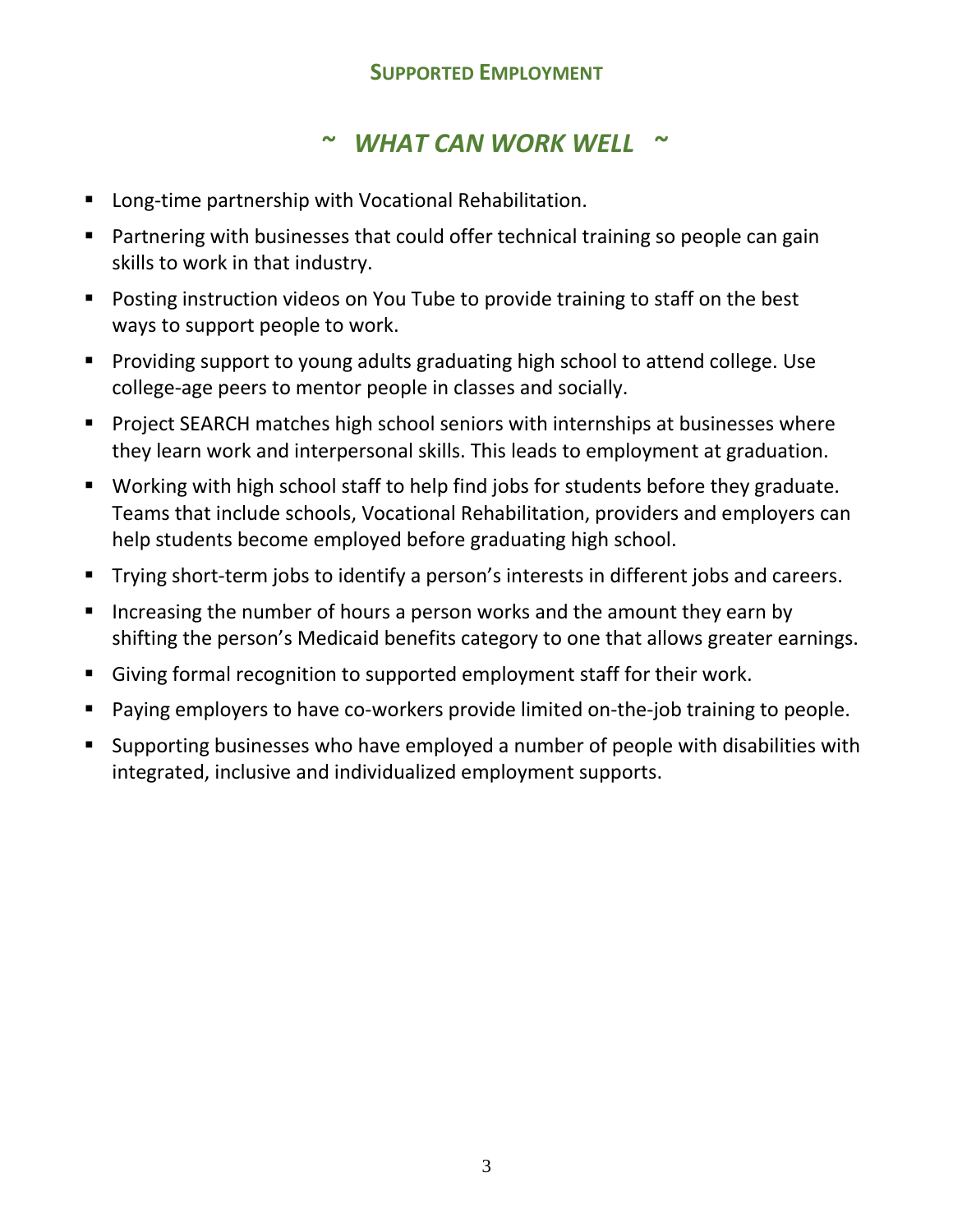### **SUPPORTED EMPLOYMENT**

### *~ WHAT CAN WORK WELL ~*

- Long-time partnership with Vocational Rehabilitation.
- Partnering with businesses that could offer technical training so people can gain skills to work in that industry.
- Posting instruction videos on You Tube to provide training to staff on the best ways to support people to work.
- Providing support to young adults graduating high school to attend college. Use college-age peers to mentor people in classes and socially.
- Project SEARCH matches high school seniors with internships at businesses where they learn work and interpersonal skills. This leads to employment at graduation.
- Working with high school staff to help find jobs for students before they graduate. Teams that include schools, Vocational Rehabilitation, providers and employers can help students become employed before graduating high school.
- Trying short-term jobs to identify a person's interests in different jobs and careers.
- Increasing the number of hours a person works and the amount they earn by shifting the person's Medicaid benefits category to one that allows greater earnings.
- Giving formal recognition to supported employment staff for their work.
- Beta Paying employers to have co-workers provide limited on-the-job training to people.
- Supporting businesses who have employed a number of people with disabilities with integrated, inclusive and individualized employment supports.